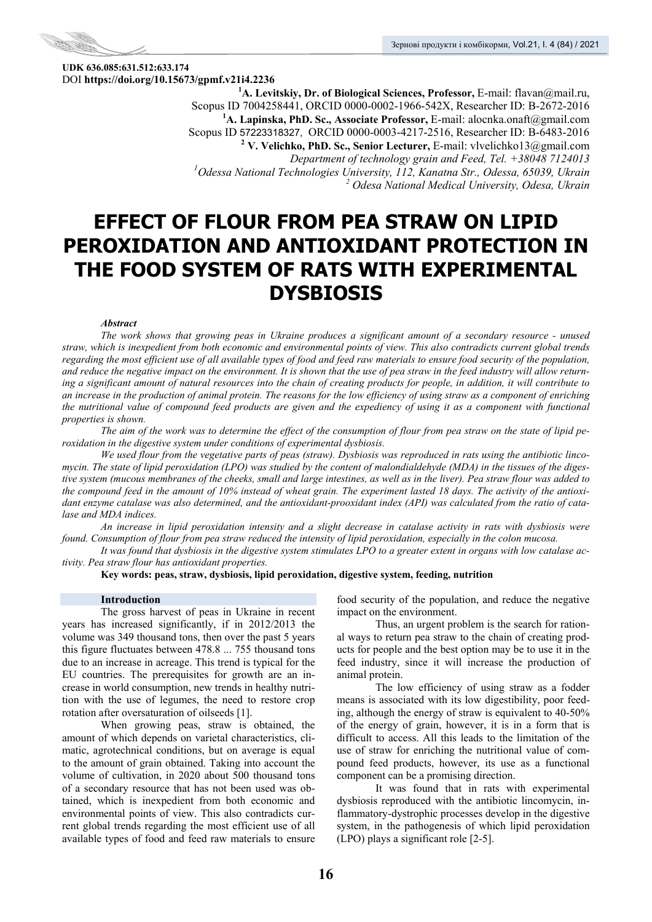

**UDK 636.085:631.512:633.174**  DOI **https://doi.org/10.15673/gpmf.v21i4.2236 1**

**А. Levitskiy, Dr. of Biological Sciences, Professor,** E-mail: flavan@mail.ru, Scopus ID 7004258441, ORCID 0000-0002-1966-542X, Researcher ID: B-2672-2016 **1 А. Lapinska, PhD. Sc., Associate Professor,** E-mail: alocnka.onaft@gmail.com Scopus ID 57223318327, ORCID 0000-0003-4217-2516, Researcher ID: B-6483-2016 **<sup>2</sup> V. Velichko, PhD. Sc., Senior Lecturer,** E-mail: vlvelichko13@gmail.com *Department of technology grain and Feed, Tel. +38048 7124013 1 Odessa National Technologies University, 112, Kanatna Str., Odessa, 65039, Ukrain 2 Odesa National Medical University, Odesa, Ukrain* 

# **EFFECT OF FLOUR FROM PEA STRAW ON LIPID PEROXIDATION AND ANTIOXIDANT PROTECTION IN THE FOOD SYSTEM OF RATS WITH EXPERIMENTAL DYSBIOSIS**

# *Abstract*

*The work shows that growing peas in Ukraine produces a significant amount of a secondary resource - unused straw, which is inexpedient from both economic and environmental points of view. This also contradicts current global trends regarding the most efficient use of all available types of food and feed raw materials to ensure food security of the population, and reduce the negative impact on the environment. It is shown that the use of pea straw in the feed industry will allow returning a significant amount of natural resources into the chain of creating products for people, in addition, it will contribute to an increase in the production of animal protein. The reasons for the low efficiency of using straw as a component of enriching the nutritional value of compound feed products are given and the expediency of using it as a component with functional properties is shown.* 

*The aim of the work was to determine the effect of the consumption of flour from pea straw on the state of lipid peroxidation in the digestive system under conditions of experimental dysbiosis.* 

*We used flour from the vegetative parts of peas (straw). Dysbiosis was reproduced in rats using the antibiotic lincomycin. The state of lipid peroxidation (LPO) was studied by the content of malondialdehyde (MDA) in the tissues of the digestive system (mucous membranes of the cheeks, small and large intestines, as well as in the liver). Pea straw flour was added to the compound feed in the amount of 10% instead of wheat grain. The experiment lasted 18 days. The activity of the antioxidant enzyme catalase was also determined, and the antioxidant-prooxidant index (API) was calculated from the ratio of catalase and MDA indices.* 

*An increase in lipid peroxidation intensity and a slight decrease in catalase activity in rats with dysbiosis were found. Consumption of flour from pea straw reduced the intensity of lipid peroxidation, especially in the colon mucosa.* 

*It was found that dysbiosis in the digestive system stimulates LPO to a greater extent in organs with low catalase activity. Pea straw flour has antioxidant properties.* 

**Key words: peas, straw, dysbiosis, lipid peroxidation, digestive system, feeding, nutrition** 

### **Introduction**

The gross harvest of peas in Ukraine in recent years has increased significantly, if in 2012/2013 the volume was 349 thousand tons, then over the past 5 years this figure fluctuates between 478.8 ... 755 thousand tons due to an increase in acreage. This trend is typical for the EU countries. The prerequisites for growth are an increase in world consumption, new trends in healthy nutrition with the use of legumes, the need to restore crop rotation after oversaturation of oilseeds [1].

When growing peas, straw is obtained, the amount of which depends on varietal characteristics, climatic, agrotechnical conditions, but on average is equal to the amount of grain obtained. Taking into account the volume of cultivation, in 2020 about 500 thousand tons of a secondary resource that has not been used was obtained, which is inexpedient from both economic and environmental points of view. This also contradicts current global trends regarding the most efficient use of all available types of food and feed raw materials to ensure food security of the population, and reduce the negative impact on the environment.

Thus, an urgent problem is the search for rational ways to return pea straw to the chain of creating products for people and the best option may be to use it in the feed industry, since it will increase the production of animal protein.

The low efficiency of using straw as a fodder means is associated with its low digestibility, poor feeding, although the energy of straw is equivalent to 40-50% of the energy of grain, however, it is in a form that is difficult to access. All this leads to the limitation of the use of straw for enriching the nutritional value of compound feed products, however, its use as a functional component can be a promising direction.

It was found that in rats with experimental dysbiosis reproduced with the antibiotic lincomycin, inflammatory-dystrophic processes develop in the digestive system, in the pathogenesis of which lipid peroxidation (LPO) plays a significant role [2-5].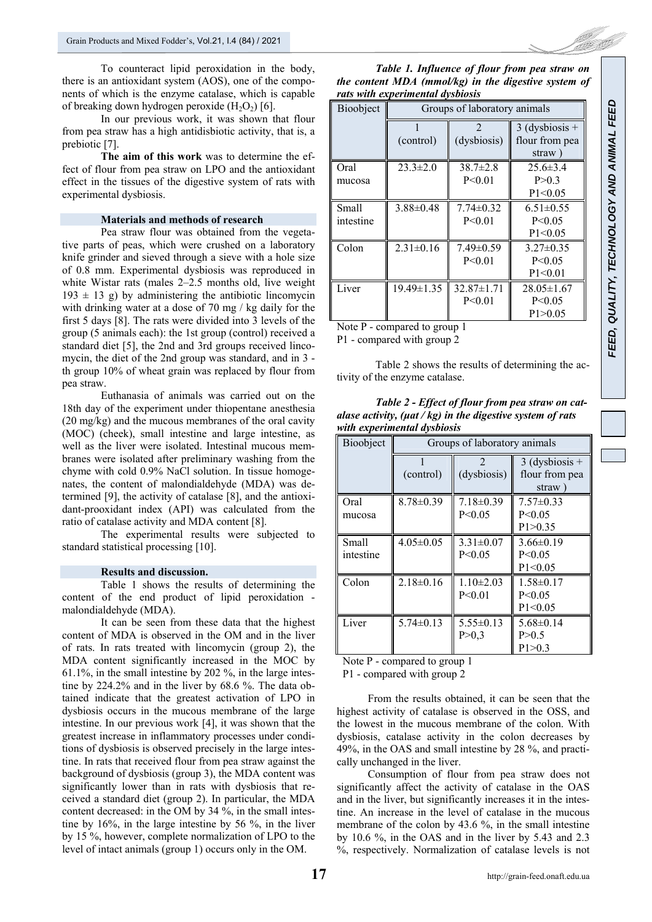To counteract lipid peroxidation in the body, there is an antioxidant system (AOS), one of the components of which is the enzyme catalase, which is capable of breaking down hydrogen peroxide  $(H_2O_2)$  [6].

In our previous work, it was shown that flour from pea straw has a high antidisbiotic activity, that is, a prebiotic [7].

**The aim of this work** was to determine the effect of flour from pea straw on LPO and the antioxidant effect in the tissues of the digestive system of rats with experimental dysbiosis.

# **Materials and methods of research**

Pea straw flour was obtained from the vegetative parts of peas, which were crushed on a laboratory knife grinder and sieved through a sieve with a hole size of 0.8 mm. Experimental dysbiosis was reproduced in white Wistar rats (males 2–2.5 months old, live weight  $193 \pm 13$  g) by administering the antibiotic lincomycin with drinking water at a dose of 70 mg / kg daily for the first 5 days [8]. The rats were divided into 3 levels of the group (5 animals each): the 1st group (control) received a standard diet [5], the 2nd and 3rd groups received lincomycin, the diet of the 2nd group was standard, and in 3 th group 10% of wheat grain was replaced by flour from pea straw.

Euthanasia of animals was carried out on the 18th day of the experiment under thiopentane anesthesia (20 mg/kg) and the mucous membranes of the oral cavity (MOC) (cheek), small intestine and large intestine, as well as the liver were isolated. Intestinal mucous membranes were isolated after preliminary washing from the chyme with cold 0.9% NaCl solution. In tissue homogenates, the content of malondialdehyde (MDA) was determined [9], the activity of catalase [8], and the antioxidant-prooxidant index (API) was calculated from the ratio of catalase activity and MDA content [8].

The experimental results were subjected to standard statistical processing [10].

#### **Results and discussion.**

Table 1 shows the results of determining the content of the end product of lipid peroxidation malondialdehyde (MDA).

It can be seen from these data that the highest content of MDA is observed in the OM and in the liver of rats. In rats treated with lincomycin (group 2), the MDA content significantly increased in the MOC by 61.1%, in the small intestine by 202 %, in the large intestine by 224.2% and in the liver by 68.6 %. The data obtained indicate that the greatest activation of LPO in dysbiosis occurs in the mucous membrane of the large intestine. In our previous work [4], it was shown that the greatest increase in inflammatory processes under conditions of dysbiosis is observed precisely in the large intestine. In rats that received flour from pea straw against the background of dysbiosis (group 3), the MDA content was significantly lower than in rats with dysbiosis that received a standard diet (group 2). In particular, the MDA content decreased: in the OM by 34 %, in the small intestine by 16%, in the large intestine by 56 %, in the liver by 15 %, however, complete normalization of LPO to the level of intact animals (group 1) occurs only in the OM.

*Table 1. Influence of flour from pea straw on the content MDA (mmol/kg) in the digestive system of rats with experimental dysbiosis* 

| Bioobject                      | Groups of laboratory animals |                  |                  |  |
|--------------------------------|------------------------------|------------------|------------------|--|
|                                |                              | $\mathfrak{D}$   | $3$ (dysbiosis + |  |
|                                | (control)                    | (dysbiosis)      | flour from pea   |  |
|                                |                              |                  | straw)           |  |
| Oral                           | $23.3 \pm 2.0$               | $38.7 \pm 2.8$   | $25.6 \pm 3.4$   |  |
| mucosa                         |                              | P < 0.01         | P>0.3            |  |
|                                |                              |                  | $P1 \le 0.05$    |  |
| Small                          | $3.88\pm0.48$                | $7.74 \pm 0.32$  | $6.51 \pm 0.55$  |  |
| intestine                      |                              | P < 0.01         | P < 0.05         |  |
|                                |                              |                  | $P1 \le 0.05$    |  |
| Colon                          | $2.31 \pm 0.16$              | $7.49 \pm 0.59$  | $3.27 \pm 0.35$  |  |
|                                |                              | P < 0.01         | P < 0.05         |  |
|                                |                              |                  | P1 < 0.01        |  |
| Liver                          | 19.49±1.35                   | $32.87 \pm 1.71$ | $28.05 \pm 1.67$ |  |
|                                |                              | P < 0.01         | $P \le 0.05$     |  |
|                                |                              |                  | P1 > 0.05        |  |
| Note $P$ - compared to group 1 |                              |                  |                  |  |

P1 - compared with group 2

Table 2 shows the results of determining the activity of the enzyme catalase.

*Table 2 - Effect of flour from pea straw on catalase activity, (μat / kg) in the digestive system of rats with experimental dysbiosis* 

| Bioobject          | Groups of laboratory animals |                              |                                              |
|--------------------|------------------------------|------------------------------|----------------------------------------------|
|                    | (control)                    | $\mathcal{L}$<br>(dysbiosis) | $3$ (dysbiosis +<br>flour from pea<br>straw) |
| Oral<br>mucosa     | $8.78 \pm 0.39$              | $7.18 \pm 0.39$<br>P < 0.05  | $7.57 \pm 0.33$<br>P < 0.05<br>P1 > 0.35     |
| Small<br>intestine | $4.05 \pm 0.05$              | $3.31 \pm 0.07$<br>P < 0.05  | $3.66\pm0.19$<br>P < 0.05<br>$P1 \le 0.05$   |
| Colon              | $2.18 \pm 0.16$              | $1.10 \pm 2.03$<br>P < 0.01  | $1.58 \pm 0.17$<br>P < 0.05<br>$P1 \le 0.05$ |
| Liver              | $5.74 \pm 0.13$              | $5.55 \pm 0.13$<br>P > 0.3   | $5.68 \pm 0.14$<br>P > 0.5<br>P1 > 0.3       |

Note P - compared to group 1

P1 - compared with group 2

From the results obtained, it can be seen that the highest activity of catalase is observed in the OSS, and the lowest in the mucous membrane of the colon. With dysbiosis, catalase activity in the colon decreases by 49%, in the OAS and small intestine by 28 %, and practically unchanged in the liver.

Consumption of flour from pea straw does not significantly affect the activity of catalase in the OAS and in the liver, but significantly increases it in the intestine. An increase in the level of catalase in the mucous membrane of the colon by 43.6 %, in the small intestine by 10.6 %, in the OAS and in the liver by 5.43 and 2.3 %, respectively. Normalization of catalase levels is not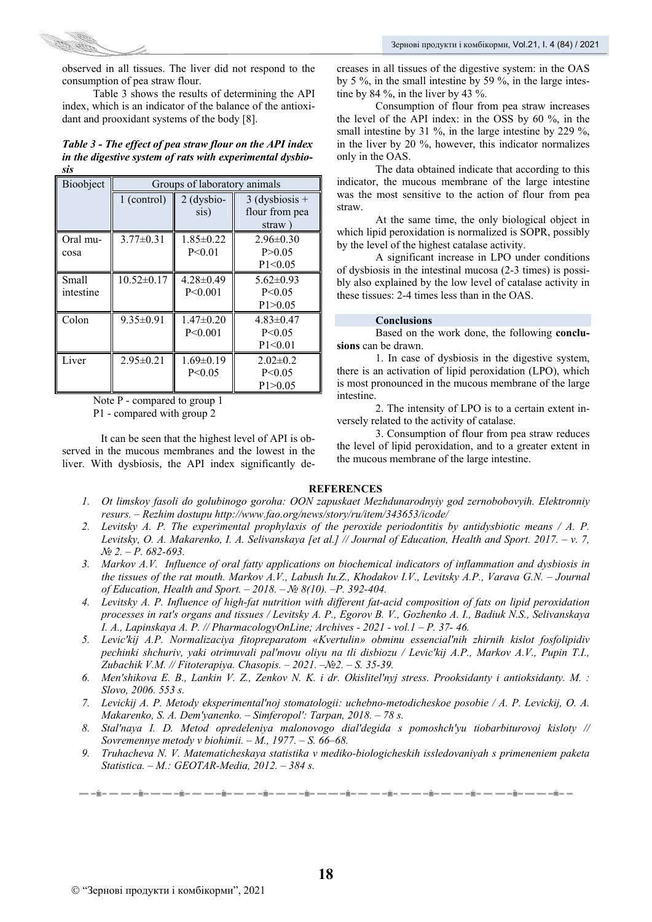

observed in all tissues. The liver did not respond to the consumption of pea straw flour.

Table 3 shows the results of determining the API index, which is an indicator of the balance of the antioxidant and prooxidant systems of the body [8].

# *Table 3 - The effect of pea straw flour on the API index in the digestive system of rats with experimental dysbiosis*

| Bioobject | Groups of laboratory animals |                 |                  |
|-----------|------------------------------|-----------------|------------------|
|           | 1 (control)                  | $2$ (dysbio-    | $3$ (dysbiosis + |
|           |                              | sis)            | flour from pea   |
|           |                              |                 | straw)           |
| Oral mu-  | $3.77 \pm 0.31$              | $1.85 \pm 0.22$ | $2.96\pm0.30$    |
| cosa      |                              | P < 0.01        | P > 0.05         |
|           |                              |                 | P1 < 0.05        |
| Small     | $10.52 \pm 0.17$             | $4.28 \pm 0.49$ | $5.62 \pm 0.93$  |
| intestine |                              | P < 0.001       | P < 0.05         |
|           |                              |                 | P1>0.05          |
| Colon     | $9.35 \pm 0.91$              | $1.47\pm0.20$   | $4.83 \pm 0.47$  |
|           |                              | P < 0.001       | P < 0.05         |
|           |                              |                 | P1 < 0.01        |
| Liver     | $2.95 \pm 0.21$              | $1.69 \pm 0.19$ | $2.02 \pm 0.2$   |
|           |                              | P < 0.05        | P < 0.05         |
|           |                              |                 | P1>0.05          |

Note P - compared to group 1 P1 - compared with group 2

It can be seen that the highest level of API is observed in the mucous membranes and the lowest in the liver. With dysbiosis, the API index significantly decreases in all tissues of the digestive system: in the OAS by 5 %, in the small intestine by 59 %, in the large intestine by 84 %, in the liver by 43 %.

Consumption of flour from pea straw increases the level of the API index: in the OSS by 60 %, in the small intestine by 31 %, in the large intestine by 229 %, in the liver by 20 %, however, this indicator normalizes only in the OAS.

The data obtained indicate that according to this indicator, the mucous membrane of the large intestine was the most sensitive to the action of flour from pea straw.

At the same time, the only biological object in which lipid peroxidation is normalized is SOPR, possibly by the level of the highest catalase activity.

A significant increase in LPO under conditions of dysbiosis in the intestinal mucosa (2-3 times) is possibly also explained by the low level of catalase activity in these tissues: 2-4 times less than in the OAS.

# **Conclusions**

Based on the work done, the following **conclusions** can be drawn.

1. In case of dysbiosis in the digestive system, there is an activation of lipid peroxidation (LPO), which is most pronounced in the mucous membrane of the large intestine.

2. The intensity of LPO is to a certain extent inversely related to the activity of catalase.

3. Consumption of flour from pea straw reduces the level of lipid peroxidation, and to a greater extent in the mucous membrane of the large intestine.

# **REFERENCES**

- *1. Ot limskoy fasoli do golubinogo goroha: OON zapuskaet Mezhdunarodnyiy god zernobobovyih. Elektronniy resurs. – Rezhim dostupu http://www.fao.org/news/story/ru/item/343653/icode/*
- *2. Levitsky A. P. The experimental prophylaxis of the peroxide periodontitis by antidysbiotic means / A. P. Levitsky, O. A. Makarenko, I. A. Selivanskaуa [et al.] // Journal of Education, Health and Sport. 2017. – v. 7, № 2. – P. 682-693.*
- *3. Markov A.V. Influence of oral fatty applications on biochemical indicators of inflammation and dysbiosis in the tissues of the rat mouth. Markov A.V., Labush Iu.Z., Khodakov I.V., Levitsky A.P., Varava G.N. – Journal of Education, Health and Sport. – 2018. – № 8(10). –Р. 392-404.*
- *4. Levitsky A. P. Influence of high-fat nutrition with different fat-acid composition of fats on lipid peroxidation processes in rat's organs and tissues / Levitsky A. P., Egorov B. V., Gozhenko A. I., Badiuk N.S., Selivanskaya I. A., Lapinskaya A. P. // PharmacologyOnLine; Archives - 2021 - vol.1 - P. 37- 46.*
- 5. Levic'kij A.P. Normalizaciya fitopreparatom «Kvertulin» obminu essencial'nih zhirnih kislot fosfolipidiv pechinki shchuriv, yaki otrimuvali pal'movu oliyu na tli disbiozu / Levic'kij A.P., Markov A.V., Pupin T.I., *Zubachik V.M. // Fіtoterapіya. Chasopis. – 2021. –№2. – S. 35-39.*
- *6. Men'shikova E. B., Lankin V. Z., Zenkov N. K. i dr. Okislitel'nyj stress. Prooksidanty i antioksidanty. M. : Slovo, 2006. 553 s.*
- *7. Levickij A. P. Metody eksperimental'noj stomatologii: uchebno-metodicheskoe posobie / A. P. Levickij, O. A. Makarenko, S. A. Dem'yanenko. – Simferopol': Tarpan, 2018. – 78 s.*
- *8. Stal'naya I. D. Metod opredeleniya malonovogo dial'degida s pomoshch'yu tiobarbiturovoj kisloty // Sovremennye metody v biohimii. – M., 1977. – S. 66–68.*
- *9. Truhacheva N. V. Matematicheskaya statistika v mediko-biologicheskih issledovaniyah s primeneniem paketa Statistica. – M.: GEOTAR-Media, 2012. – 384 s.*

 $\frac{1}{1-\alpha} \frac{1}{1-\alpha} \frac{1}{1-\alpha} \frac{1}{1-\alpha} \frac{1}{1-\alpha} \frac{1}{1-\alpha} \frac{1}{1-\alpha} \frac{1}{1-\alpha} \frac{1}{1-\alpha} \frac{1}{1-\alpha} \frac{1}{1-\alpha} \frac{1}{1-\alpha} \frac{1}{1-\alpha} \frac{1}{1-\alpha} \frac{1}{1-\alpha} \frac{1}{1-\alpha} \frac{1}{1-\alpha} \frac{1}{1-\alpha} \frac{1}{1-\alpha} \frac{1}{1-\alpha} \frac{1}{1-\alpha} \frac{1}{1-\alpha} \frac{1}{1-\alpha} \frac{1}{1-\alpha} \frac{1$